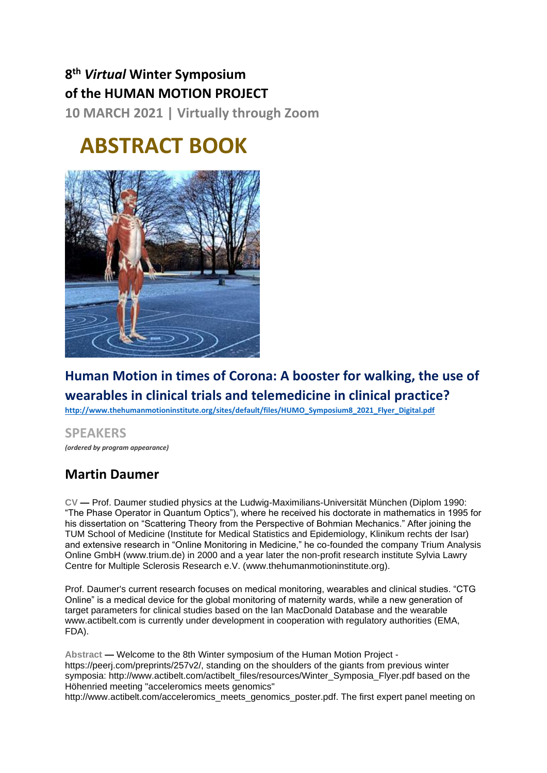## **8 th** *Virtual* **Winter Symposium of the HUMAN MOTION PROJECT**

**10 MARCH 2021 | Virtually through Zoom**

# **ABSTRACT BOOK**



## **Human Motion in times of Corona: A booster for walking, the use of wearables in clinical trials and telemedicine in clinical practice?**

**[http://www.thehumanmotioninstitute.org/sites/default/files/HUMO\\_Symposium8\\_2021\\_Flyer\\_Digital.pdf](http://www.thehumanmotioninstitute.org/sites/default/files/HUMO_Symposium8_2021_Flyer_Digital.pdf)**

#### **SPEAKERS** *(ordered by program appearance)*

## **Martin Daumer**

**CV —** Prof. Daumer studied physics at the Ludwig-Maximilians-Universität München (Diplom 1990: "The Phase Operator in Quantum Optics"), where he received his doctorate in mathematics in 1995 for his dissertation on "Scattering Theory from the Perspective of Bohmian Mechanics." After joining the TUM School of Medicine (Institute for Medical Statistics and Epidemiology, Klinikum rechts der Isar) and extensive research in "Online Monitoring in Medicine," he co-founded the company Trium Analysis Online GmbH [\(www.trium.de\)](http://www.trium.de/) in 2000 and a year later the non-profit research institute Sylvia Lawry Centre for Multiple Sclerosis Research e.V. [\(www.thehumanmotioninstitute.org\)](http://www.thehumanmotioninstitute.org/).

Prof. Daumer's current research focuses on medical monitoring, wearables and clinical studies. "CTG Online" is a medical device for the global monitoring of maternity wards, while a new generation of target parameters for clinical studies based on the Ian MacDonald Database and the wearable [www.actibelt.com](http://www.actibelt.com/) is currently under development in cooperation with regulatory authorities (EMA, FDA).

**Abstract —** Welcome to the 8th Winter symposium of the Human Motion Project https://peerj.com/preprints/257v2/, standing on the shoulders of the giants from previous winter symposia: http://www.actibelt.com/actibelt\_files/resources/Winter\_Symposia\_Flyer.pdf based on the Höhenried meeting "acceleromics meets genomics"

http://www.actibelt.com/acceleromics\_meets\_genomics\_poster.pdf. The first expert panel meeting on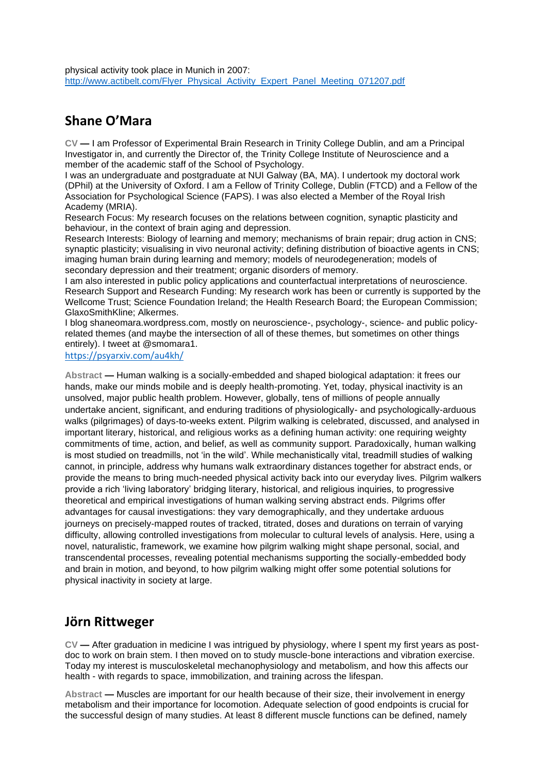#### **Shane O'Mara**

**CV —** I am Professor of Experimental Brain Research in Trinity College Dublin, and am a Principal Investigator in, and currently the Director of, the Trinity College Institute of Neuroscience and a member of the academic staff of the School of Psychology.

I was an undergraduate and postgraduate at NUI Galway (BA, MA). I undertook my doctoral work (DPhil) at the University of Oxford. I am a Fellow of Trinity College, Dublin (FTCD) and a Fellow of the Association for Psychological Science (FAPS). I was also elected a Member of the Royal Irish Academy (MRIA).

Research Focus: My research focuses on the relations between cognition, synaptic plasticity and behaviour, in the context of brain aging and depression.

Research Interests: Biology of learning and memory; mechanisms of brain repair; drug action in CNS; synaptic plasticity; visualising in vivo neuronal activity; defining distribution of bioactive agents in CNS; imaging human brain during learning and memory; models of neurodegeneration; models of secondary depression and their treatment; organic disorders of memory.

I am also interested in public policy applications and counterfactual interpretations of neuroscience. Research Support and Research Funding: My research work has been or currently is supported by the Wellcome Trust; Science Foundation Ireland; the Health Research Board; the European Commission; GlaxoSmithKline; Alkermes.

I blog shaneomara.wordpress.com, mostly on neuroscience-, psychology-, science- and public policyrelated themes (and maybe the intersection of all of these themes, but sometimes on other things entirely). I tweet at @smomara1.

<https://psyarxiv.com/au4kh/>

**Abstract —** Human walking is a socially-embedded and shaped biological adaptation: it frees our hands, make our minds mobile and is deeply health-promoting. Yet, today, physical inactivity is an unsolved, major public health problem. However, globally, tens of millions of people annually undertake ancient, significant, and enduring traditions of physiologically- and psychologically-arduous walks (pilgrimages) of days-to-weeks extent. Pilgrim walking is celebrated, discussed, and analysed in important literary, historical, and religious works as a defining human activity: one requiring weighty commitments of time, action, and belief, as well as community support. Paradoxically, human walking is most studied on treadmills, not 'in the wild'. While mechanistically vital, treadmill studies of walking cannot, in principle, address why humans walk extraordinary distances together for abstract ends, or provide the means to bring much-needed physical activity back into our everyday lives. Pilgrim walkers provide a rich 'living laboratory' bridging literary, historical, and religious inquiries, to progressive theoretical and empirical investigations of human walking serving abstract ends. Pilgrims offer advantages for causal investigations: they vary demographically, and they undertake arduous journeys on precisely-mapped routes of tracked, titrated, doses and durations on terrain of varying difficulty, allowing controlled investigations from molecular to cultural levels of analysis. Here, using a novel, naturalistic, framework, we examine how pilgrim walking might shape personal, social, and transcendental processes, revealing potential mechanisms supporting the socially-embedded body and brain in motion, and beyond, to how pilgrim walking might offer some potential solutions for physical inactivity in society at large.

#### **Jörn Rittweger**

**CV —** After graduation in medicine I was intrigued by physiology, where I spent my first years as postdoc to work on brain stem. I then moved on to study muscle-bone interactions and vibration exercise. Today my interest is musculoskeletal mechanophysiology and metabolism, and how this affects our health - with regards to space, immobilization, and training across the lifespan.

**Abstract —** Muscles are important for our health because of their size, their involvement in energy metabolism and their importance for locomotion. Adequate selection of good endpoints is crucial for the successful design of many studies. At least 8 different muscle functions can be defined, namely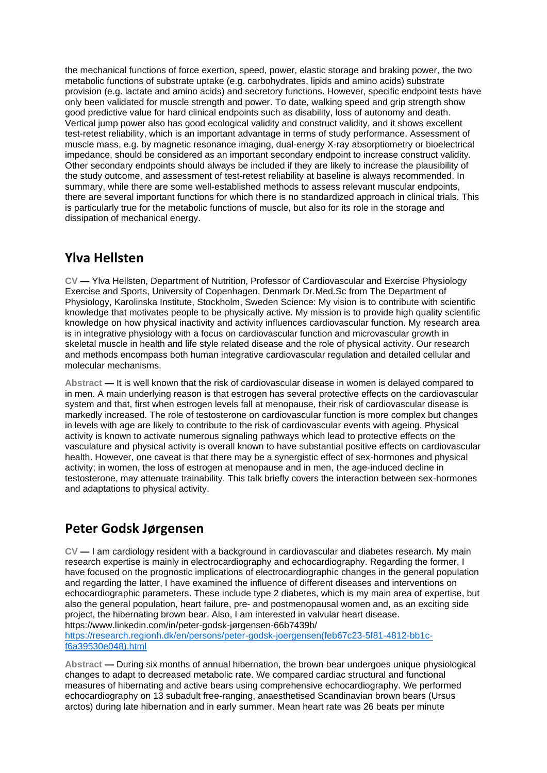the mechanical functions of force exertion, speed, power, elastic storage and braking power, the two metabolic functions of substrate uptake (e.g. carbohydrates, lipids and amino acids) substrate provision (e.g. lactate and amino acids) and secretory functions. However, specific endpoint tests have only been validated for muscle strength and power. To date, walking speed and grip strength show good predictive value for hard clinical endpoints such as disability, loss of autonomy and death. Vertical jump power also has good ecological validity and construct validity, and it shows excellent test-retest reliability, which is an important advantage in terms of study performance. Assessment of muscle mass, e.g. by magnetic resonance imaging, dual-energy X-ray absorptiometry or bioelectrical impedance, should be considered as an important secondary endpoint to increase construct validity. Other secondary endpoints should always be included if they are likely to increase the plausibility of the study outcome, and assessment of test-retest reliability at baseline is always recommended. In summary, while there are some well-established methods to assess relevant muscular endpoints, there are several important functions for which there is no standardized approach in clinical trials. This is particularly true for the metabolic functions of muscle, but also for its role in the storage and dissipation of mechanical energy.

#### **Ylva Hellsten**

**CV —** Ylva Hellsten, Department of Nutrition, Professor of Cardiovascular and Exercise Physiology Exercise and Sports, University of Copenhagen, Denmark Dr.Med.Sc from The Department of Physiology, Karolinska Institute, Stockholm, Sweden Science: My vision is to contribute with scientific knowledge that motivates people to be physically active. My mission is to provide high quality scientific knowledge on how physical inactivity and activity influences cardiovascular function. My research area is in integrative physiology with a focus on cardiovascular function and microvascular growth in skeletal muscle in health and life style related disease and the role of physical activity. Our research and methods encompass both human integrative cardiovascular regulation and detailed cellular and molecular mechanisms.

**Abstract —** It is well known that the risk of cardiovascular disease in women is delayed compared to in men. A main underlying reason is that estrogen has several protective effects on the cardiovascular system and that, first when estrogen levels fall at menopause, their risk of cardiovascular disease is markedly increased. The role of testosterone on cardiovascular function is more complex but changes in levels with age are likely to contribute to the risk of cardiovascular events with ageing. Physical activity is known to activate numerous signaling pathways which lead to protective effects on the vasculature and physical activity is overall known to have substantial positive effects on cardiovascular health. However, one caveat is that there may be a synergistic effect of sex-hormones and physical activity; in women, the loss of estrogen at menopause and in men, the age-induced decline in testosterone, may attenuate trainability. This talk briefly covers the interaction between sex-hormones and adaptations to physical activity.

#### **Peter Godsk Jørgensen**

**CV —** I am cardiology resident with a background in cardiovascular and diabetes research. My main research expertise is mainly in electrocardiography and echocardiography. Regarding the former, I have focused on the prognostic implications of electrocardiographic changes in the general population and regarding the latter, I have examined the influence of different diseases and interventions on echocardiographic parameters. These include type 2 diabetes, which is my main area of expertise, but also the general population, heart failure, pre- and postmenopausal women and, as an exciting side project, the hibernating brown bear. Also, I am interested in valvular heart disease. https://www.linkedin.com/in/peter-godsk-jørgensen-66b7439b/

[https://research.regionh.dk/en/persons/peter-godsk-joergensen\(feb67c23-5f81-4812-bb1c](https://research.regionh.dk/en/persons/peter-godsk-joergensen(feb67c23-5f81-4812-bb1c-f6a39530e048).html)[f6a39530e048\).html](https://research.regionh.dk/en/persons/peter-godsk-joergensen(feb67c23-5f81-4812-bb1c-f6a39530e048).html)

**Abstract —** During six months of annual hibernation, the brown bear undergoes unique physiological changes to adapt to decreased metabolic rate. We compared cardiac structural and functional measures of hibernating and active bears using comprehensive echocardiography. We performed echocardiography on 13 subadult free-ranging, anaesthetised Scandinavian brown bears (Ursus arctos) during late hibernation and in early summer. Mean heart rate was 26 beats per minute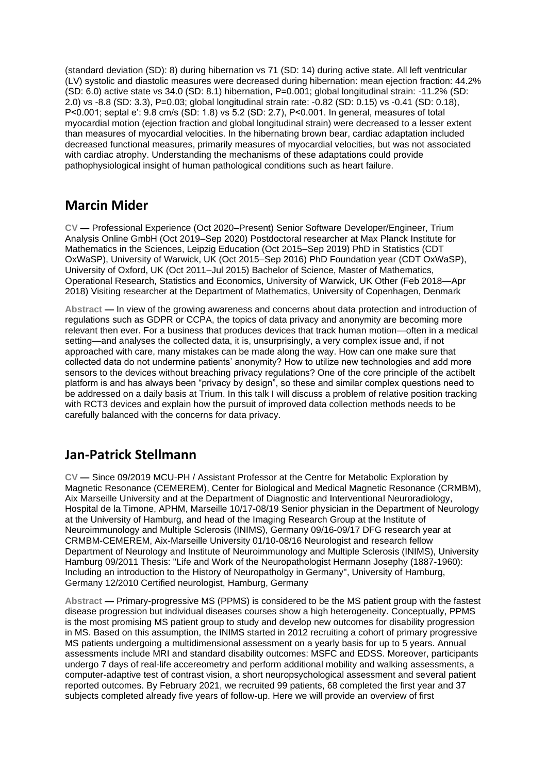(standard deviation (SD): 8) during hibernation vs 71 (SD: 14) during active state. All left ventricular (LV) systolic and diastolic measures were decreased during hibernation: mean ejection fraction: 44.2% (SD: 6.0) active state vs 34.0 (SD: 8.1) hibernation, P=0.001; global longitudinal strain: -11.2% (SD: 2.0) vs -8.8 (SD: 3.3), P=0.03; global longitudinal strain rate: -0.82 (SD: 0.15) vs -0.41 (SD: 0.18), P<0.001; septal e': 9.8 cm/s (SD: 1.8) vs 5.2 (SD: 2.7), P<0.001. In general, measures of total myocardial motion (ejection fraction and global longitudinal strain) were decreased to a lesser extent than measures of myocardial velocities. In the hibernating brown bear, cardiac adaptation included decreased functional measures, primarily measures of myocardial velocities, but was not associated with cardiac atrophy. Understanding the mechanisms of these adaptations could provide pathophysiological insight of human pathological conditions such as heart failure.

#### **Marcin Mider**

**CV —** Professional Experience (Oct 2020–Present) Senior Software Developer/Engineer, Trium Analysis Online GmbH (Oct 2019–Sep 2020) Postdoctoral researcher at Max Planck Institute for Mathematics in the Sciences, Leipzig Education (Oct 2015–Sep 2019) PhD in Statistics (CDT OxWaSP), University of Warwick, UK (Oct 2015–Sep 2016) PhD Foundation year (CDT OxWaSP), University of Oxford, UK (Oct 2011–Jul 2015) Bachelor of Science, Master of Mathematics, Operational Research, Statistics and Economics, University of Warwick, UK Other (Feb 2018—Apr 2018) Visiting researcher at the Department of Mathematics, University of Copenhagen, Denmark

**Abstract —** In view of the growing awareness and concerns about data protection and introduction of regulations such as GDPR or CCPA, the topics of data privacy and anonymity are becoming more relevant then ever. For a business that produces devices that track human motion—often in a medical setting—and analyses the collected data, it is, unsurprisingly, a very complex issue and, if not approached with care, many mistakes can be made along the way. How can one make sure that collected data do not undermine patients' anonymity? How to utilize new technologies and add more sensors to the devices without breaching privacy regulations? One of the core principle of the actibelt platform is and has always been "privacy by design", so these and similar complex questions need to be addressed on a daily basis at Trium. In this talk I will discuss a problem of relative position tracking with RCT3 devices and explain how the pursuit of improved data collection methods needs to be carefully balanced with the concerns for data privacy.

#### **Jan-Patrick Stellmann**

**CV —** Since 09/2019 MCU-PH / Assistant Professor at the Centre for Metabolic Exploration by Magnetic Resonance (CEMEREM), Center for Biological and Medical Magnetic Resonance (CRMBM), Aix Marseille University and at the Department of Diagnostic and Interventional Neuroradiology, Hospital de la Timone, APHM, Marseille 10/17-08/19 Senior physician in the Department of Neurology at the University of Hamburg, and head of the Imaging Research Group at the Institute of Neuroimmunology and Multiple Sclerosis (INIMS), Germany 09/16-09/17 DFG research year at CRMBM-CEMEREM, Aix-Marseille University 01/10-08/16 Neurologist and research fellow Department of Neurology and Institute of Neuroimmunology and Multiple Sclerosis (INIMS), University Hamburg 09/2011 Thesis: "Life and Work of the Neuropathologist Hermann Josephy (1887-1960): Including an introduction to the History of Neuropatholgy in Germany", University of Hamburg, Germany 12/2010 Certified neurologist, Hamburg, Germany

**Abstract —** Primary-progressive MS (PPMS) is considered to be the MS patient group with the fastest disease progression but individual diseases courses show a high heterogeneity. Conceptually, PPMS is the most promising MS patient group to study and develop new outcomes for disability progression in MS. Based on this assumption, the INIMS started in 2012 recruiting a cohort of primary progressive MS patients undergoing a multidimensional assessment on a yearly basis for up to 5 years. Annual assessments include MRI and standard disability outcomes: MSFC and EDSS. Moreover, participants undergo 7 days of real-life accereometry and perform additional mobility and walking assessments, a computer-adaptive test of contrast vision, a short neuropsychological assessment and several patient reported outcomes. By February 2021, we recruited 99 patients, 68 completed the first year and 37 subjects completed already five years of follow-up. Here we will provide an overview of first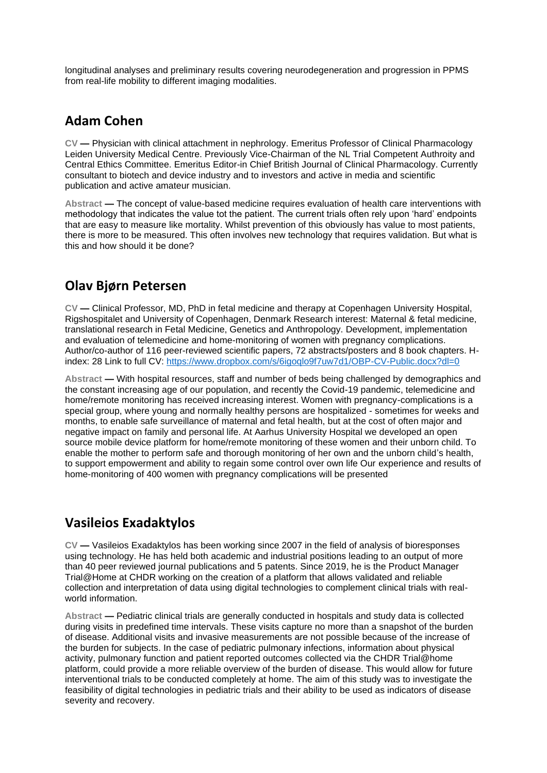longitudinal analyses and preliminary results covering neurodegeneration and progression in PPMS from real-life mobility to different imaging modalities.

#### **Adam Cohen**

**CV —** Physician with clinical attachment in nephrology. Emeritus Professor of Clinical Pharmacology Leiden University Medical Centre. Previously Vice-Chairman of the NL Trial Competent Authroity and Central Ethics Committee. Emeritus Editor-in Chief British Journal of Clinical Pharmacology. Currently consultant to biotech and device industry and to investors and active in media and scientific publication and active amateur musician.

**Abstract —** The concept of value-based medicine requires evaluation of health care interventions with methodology that indicates the value tot the patient. The current trials often rely upon 'hard' endpoints that are easy to measure like mortality. Whilst prevention of this obviously has value to most patients, there is more to be measured. This often involves new technology that requires validation. But what is this and how should it be done?

#### **Olav Bjørn Petersen**

**CV —** Clinical Professor, MD, PhD in fetal medicine and therapy at Copenhagen University Hospital, Rigshospitalet and University of Copenhagen, Denmark Research interest: Maternal & fetal medicine, translational research in Fetal Medicine, Genetics and Anthropology. Development, implementation and evaluation of telemedicine and home-monitoring of women with pregnancy complications. Author/co-author of 116 peer-reviewed scientific papers, 72 abstracts/posters and 8 book chapters. Hindex: 28 Link to full CV:<https://www.dropbox.com/s/6igoqlo9f7uw7d1/OBP-CV-Public.docx?dl=0>

**Abstract —** With hospital resources, staff and number of beds being challenged by demographics and the constant increasing age of our population, and recently the Covid-19 pandemic, telemedicine and home/remote monitoring has received increasing interest. Women with pregnancy-complications is a special group, where young and normally healthy persons are hospitalized - sometimes for weeks and months, to enable safe surveillance of maternal and fetal health, but at the cost of often major and negative impact on family and personal life. At Aarhus University Hospital we developed an open source mobile device platform for home/remote monitoring of these women and their unborn child. To enable the mother to perform safe and thorough monitoring of her own and the unborn child's health, to support empowerment and ability to regain some control over own life Our experience and results of home-monitoring of 400 women with pregnancy complications will be presented

#### **Vasileios Exadaktylos**

**CV —** Vasileios Exadaktylos has been working since 2007 in the field of analysis of bioresponses using technology. He has held both academic and industrial positions leading to an output of more than 40 peer reviewed journal publications and 5 patents. Since 2019, he is the Product Manager Trial@Home at CHDR working on the creation of a platform that allows validated and reliable collection and interpretation of data using digital technologies to complement clinical trials with realworld information.

**Abstract —** Pediatric clinical trials are generally conducted in hospitals and study data is collected during visits in predefined time intervals. These visits capture no more than a snapshot of the burden of disease. Additional visits and invasive measurements are not possible because of the increase of the burden for subjects. In the case of pediatric pulmonary infections, information about physical activity, pulmonary function and patient reported outcomes collected via the CHDR Trial@home platform, could provide a more reliable overview of the burden of disease. This would allow for future interventional trials to be conducted completely at home. The aim of this study was to investigate the feasibility of digital technologies in pediatric trials and their ability to be used as indicators of disease severity and recovery.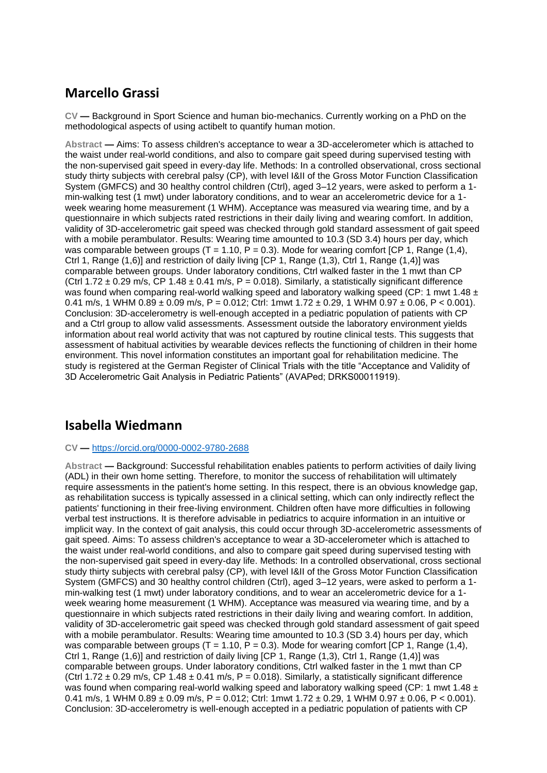### **Marcello Grassi**

**CV —** Background in Sport Science and human bio-mechanics. Currently working on a PhD on the methodological aspects of using actibelt to quantify human motion.

**Abstract —** Aims: To assess children's acceptance to wear a 3D-accelerometer which is attached to the waist under real-world conditions, and also to compare gait speed during supervised testing with the non-supervised gait speed in every-day life. Methods: In a controlled observational, cross sectional study thirty subjects with cerebral palsy (CP), with level I&II of the Gross Motor Function Classification System (GMFCS) and 30 healthy control children (Ctrl), aged 3–12 years, were asked to perform a 1 min-walking test (1 mwt) under laboratory conditions, and to wear an accelerometric device for a 1 week wearing home measurement (1 WHM). Acceptance was measured via wearing time, and by a questionnaire in which subjects rated restrictions in their daily living and wearing comfort. In addition, validity of 3D-accelerometric gait speed was checked through gold standard assessment of gait speed with a mobile perambulator. Results: Wearing time amounted to 10.3 (SD 3.4) hours per day, which was comparable between groups (T = 1.10,  $\overline{P}$  = 0.3). Mode for wearing comfort ICP 1, Range (1.4), Ctrl 1, Range (1,6)] and restriction of daily living [CP 1, Range (1,3), Ctrl 1, Range (1,4)] was comparable between groups. Under laboratory conditions, Ctrl walked faster in the 1 mwt than CP (Ctrl 1.72  $\pm$  0.29 m/s, CP 1.48  $\pm$  0.41 m/s, P = 0.018). Similarly, a statistically significant difference was found when comparing real-world walking speed and laboratory walking speed (CP: 1 mwt 1.48  $\pm$ 0.41 m/s, 1 WHM  $0.89 \pm 0.09$  m/s, P = 0.012; Ctrl: 1mwt 1.72  $\pm$  0.29, 1 WHM 0.97  $\pm$  0.06, P < 0.001). Conclusion: 3D-accelerometry is well-enough accepted in a pediatric population of patients with CP and a Ctrl group to allow valid assessments. Assessment outside the laboratory environment yields information about real world activity that was not captured by routine clinical tests. This suggests that assessment of habitual activities by wearable devices reflects the functioning of children in their home environment. This novel information constitutes an important goal for rehabilitation medicine. The study is registered at the German Register of Clinical Trials with the title "Acceptance and Validity of 3D Accelerometric Gait Analysis in Pediatric Patients" (AVAPed; DRKS00011919).

#### **Isabella Wiedmann**

#### **CV —** <https://orcid.org/0000-0002-9780-2688>

**Abstract —** Background: Successful rehabilitation enables patients to perform activities of daily living (ADL) in their own home setting. Therefore, to monitor the success of rehabilitation will ultimately require assessments in the patient's home setting. In this respect, there is an obvious knowledge gap, as rehabilitation success is typically assessed in a clinical setting, which can only indirectly reflect the patients' functioning in their free-living environment. Children often have more difficulties in following verbal test instructions. It is therefore advisable in pediatrics to acquire information in an intuitive or implicit way. In the context of gait analysis, this could occur through 3D-accelerometric assessments of gait speed. Aims: To assess children's acceptance to wear a 3D-accelerometer which is attached to the waist under real-world conditions, and also to compare gait speed during supervised testing with the non-supervised gait speed in every-day life. Methods: In a controlled observational, cross sectional study thirty subjects with cerebral palsy (CP), with level I&II of the Gross Motor Function Classification System (GMFCS) and 30 healthy control children (Ctrl), aged 3–12 years, were asked to perform a 1 min-walking test (1 mwt) under laboratory conditions, and to wear an accelerometric device for a 1 week wearing home measurement (1 WHM). Acceptance was measured via wearing time, and by a questionnaire in which subjects rated restrictions in their daily living and wearing comfort. In addition, validity of 3D-accelerometric gait speed was checked through gold standard assessment of gait speed with a mobile perambulator. Results: Wearing time amounted to 10.3 (SD 3.4) hours per day, which was comparable between groups (T = 1.10, P = 0.3). Mode for wearing comfort [CP 1, Range  $(1,4)$ , Ctrl 1, Range (1,6)] and restriction of daily living [CP 1, Range (1,3), Ctrl 1, Range (1,4)] was comparable between groups. Under laboratory conditions, Ctrl walked faster in the 1 mwt than CP (Ctrl 1.72  $\pm$  0.29 m/s, CP 1.48  $\pm$  0.41 m/s, P = 0.018). Similarly, a statistically significant difference was found when comparing real-world walking speed and laboratory walking speed (CP: 1 mwt 1.48  $\pm$ 0.41 m/s, 1 WHM  $0.89 \pm 0.09$  m/s, P = 0.012; Ctrl: 1mwt  $1.72 \pm 0.29$ , 1 WHM  $0.97 \pm 0.06$ , P < 0.001). Conclusion: 3D-accelerometry is well-enough accepted in a pediatric population of patients with CP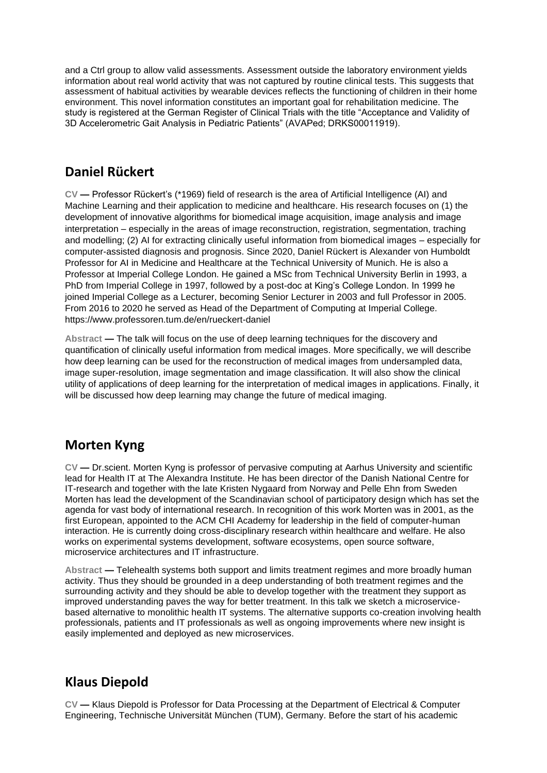and a Ctrl group to allow valid assessments. Assessment outside the laboratory environment yields information about real world activity that was not captured by routine clinical tests. This suggests that assessment of habitual activities by wearable devices reflects the functioning of children in their home environment. This novel information constitutes an important goal for rehabilitation medicine. The study is registered at the German Register of Clinical Trials with the title "Acceptance and Validity of 3D Accelerometric Gait Analysis in Pediatric Patients" (AVAPed; DRKS00011919).

#### **Daniel Rückert**

**CV —** Professor Rückert's (\*1969) field of research is the area of Artificial Intelligence (AI) and Machine Learning and their application to medicine and healthcare. His research focuses on (1) the development of innovative algorithms for biomedical image acquisition, image analysis and image interpretation – especially in the areas of image reconstruction, registration, segmentation, traching and modelling; (2) AI for extracting clinically useful information from biomedical images – especially for computer-assisted diagnosis and prognosis. Since 2020, Daniel Rückert is Alexander von Humboldt Professor for AI in Medicine and Healthcare at the Technical University of Munich. He is also a Professor at Imperial College London. He gained a MSc from Technical University Berlin in 1993, a PhD from Imperial College in 1997, followed by a post-doc at King's College London. In 1999 he joined Imperial College as a Lecturer, becoming Senior Lecturer in 2003 and full Professor in 2005. From 2016 to 2020 he served as Head of the Department of Computing at Imperial College. https://www.professoren.tum.de/en/rueckert-daniel

**Abstract —** The talk will focus on the use of deep learning techniques for the discovery and quantification of clinically useful information from medical images. More specifically, we will describe how deep learning can be used for the reconstruction of medical images from undersampled data, image super-resolution, image segmentation and image classification. It will also show the clinical utility of applications of deep learning for the interpretation of medical images in applications. Finally, it will be discussed how deep learning may change the future of medical imaging.

#### **Morten Kyng**

**CV —** Dr.scient. Morten Kyng is professor of pervasive computing at Aarhus University and scientific lead for Health IT at The Alexandra Institute. He has been director of the Danish National Centre for IT-research and together with the late Kristen Nygaard from Norway and Pelle Ehn from Sweden Morten has lead the development of the Scandinavian school of participatory design which has set the agenda for vast body of international research. In recognition of this work Morten was in 2001, as the first European, appointed to the ACM CHI Academy for leadership in the field of computer-human interaction. He is currently doing cross-disciplinary research within healthcare and welfare. He also works on experimental systems development, software ecosystems, open source software, microservice architectures and IT infrastructure.

**Abstract —** Telehealth systems both support and limits treatment regimes and more broadly human activity. Thus they should be grounded in a deep understanding of both treatment regimes and the surrounding activity and they should be able to develop together with the treatment they support as improved understanding paves the way for better treatment. In this talk we sketch a microservicebased alternative to monolithic health IT systems. The alternative supports co-creation involving health professionals, patients and IT professionals as well as ongoing improvements where new insight is easily implemented and deployed as new microservices.

#### **Klaus Diepold**

**CV —** Klaus Diepold is Professor for Data Processing at the Department of Electrical & Computer Engineering, Technische Universität München (TUM), Germany. Before the start of his academic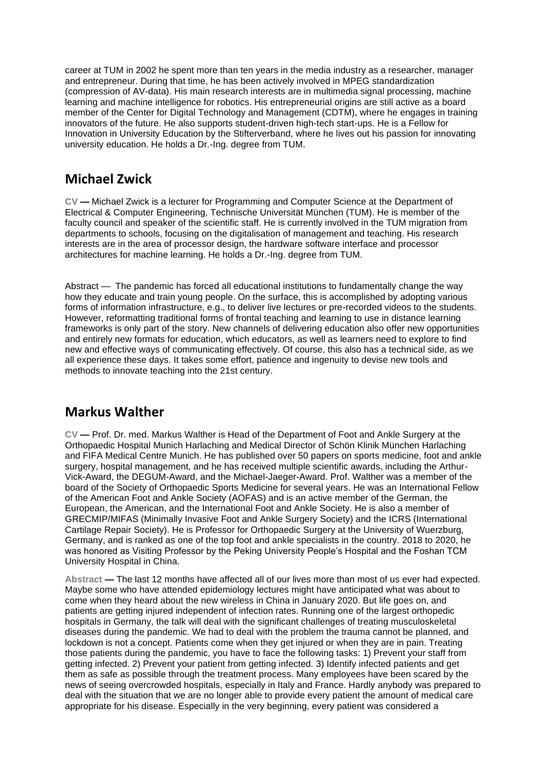career at TUM in 2002 he spent more than ten years in the media industry as a researcher, manager and entrepreneur. During that time, he has been actively involved in MPEG standardization (compression of AV-data). His main research interests are in multimedia signal processing, machine learning and machine intelligence for robotics. His entrepreneurial origins are still active as a board member of the Center for Digital Technology and Management (CDTM), where he engages in training innovators of the future. He also supports student-driven high-tech start-ups. He is a Fellow for Innovation in University Education by the Stifterverband, where he lives out his passion for innovating university education. He holds a Dr.-Ing. degree from TUM.

#### **Michael Zwick**

**CV —** Michael Zwick is a lecturer for Programming and Computer Science at the Department of Electrical & Computer Engineering, Technische Universität München (TUM). He is member of the faculty council and speaker of the scientific staff. He is currently involved in the TUM migration from departments to schools, focusing on the digitalisation of management and teaching. His research interests are in the area of processor design, the hardware software interface and processor architectures for machine learning. He holds a Dr.-Ing. degree from TUM.

Abstract — The pandemic has forced all educational institutions to fundamentally change the way how they educate and train young people. On the surface, this is accomplished by adopting various forms of information infrastructure, e.g., to deliver live lectures or pre-recorded videos to the students. However, reformatting traditional forms of frontal teaching and learning to use in distance learning frameworks is only part of the story. New channels of delivering education also offer new opportunities and entirely new formats for education, which educators, as well as learners need to explore to find new and effective ways of communicating effectively. Of course, this also has a technical side, as we all experience these days. It takes some effort, patience and ingenuity to devise new tools and methods to innovate teaching into the 21st century.

#### **Markus Walther**

**CV —** Prof. Dr. med. Markus Walther is Head of the Department of Foot and Ankle Surgery at the Orthopaedic Hospital Munich Harlaching and Medical Director of Schön Klinik München Harlaching and FIFA Medical Centre Munich. He has published over 50 papers on sports medicine, foot and ankle surgery, hospital management, and he has received multiple scientific awards, including the Arthur-Vick-Award, the DEGUM-Award, and the Michael-Jaeger-Award. Prof. Walther was a member of the board of the Society of Orthopaedic Sports Medicine for several years. He was an International Fellow of the American Foot and Ankle Society (AOFAS) and is an active member of the German, the European, the American, and the International Foot and Ankle Society. He is also a member of GRECMIP/MIFAS (Minimally Invasive Foot and Ankle Surgery Society) and the ICRS (International Cartilage Repair Society). He is Professor for Orthopaedic Surgery at the University of Wuerzburg, Germany, and is ranked as one of the top foot and ankle specialists in the country. 2018 to 2020, he was honored as Visiting Professor by the Peking University People's Hospital and the Foshan TCM University Hospital in China.

**Abstract —** The last 12 months have affected all of our lives more than most of us ever had expected. Maybe some who have attended epidemiology lectures might have anticipated what was about to come when they heard about the new wireless in China in January 2020. But life goes on, and patients are getting injured independent of infection rates. Running one of the largest orthopedic hospitals in Germany, the talk will deal with the significant challenges of treating musculoskeletal diseases during the pandemic. We had to deal with the problem the trauma cannot be planned, and lockdown is not a concept. Patients come when they get injured or when they are in pain. Treating those patients during the pandemic, you have to face the following tasks: 1) Prevent your staff from getting infected. 2) Prevent your patient from getting infected. 3) Identify infected patients and get them as safe as possible through the treatment process. Many employees have been scared by the news of seeing overcrowded hospitals, especially in Italy and France. Hardly anybody was prepared to deal with the situation that we are no longer able to provide every patient the amount of medical care appropriate for his disease. Especially in the very beginning, every patient was considered a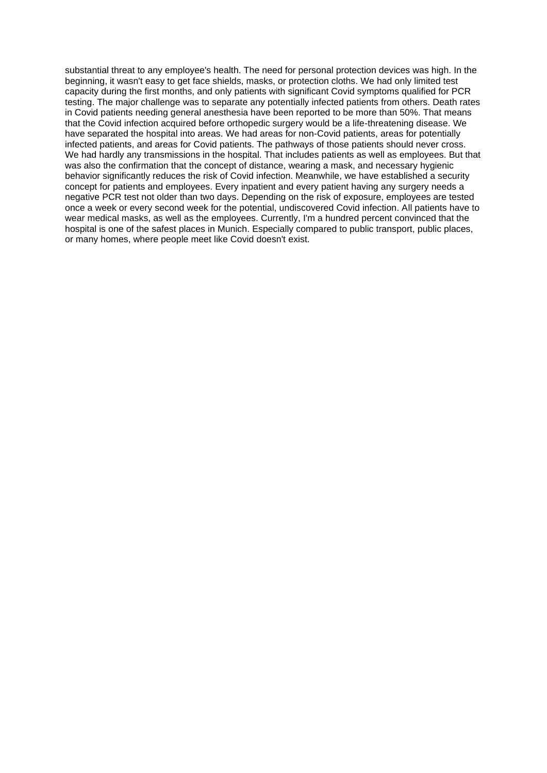substantial threat to any employee's health. The need for personal protection devices was high. In the beginning, it wasn't easy to get face shields, masks, or protection cloths. We had only limited test capacity during the first months, and only patients with significant Covid symptoms qualified for PCR testing. The major challenge was to separate any potentially infected patients from others. Death rates in Covid patients needing general anesthesia have been reported to be more than 50%. That means that the Covid infection acquired before orthopedic surgery would be a life-threatening disease. We have separated the hospital into areas. We had areas for non-Covid patients, areas for potentially infected patients, and areas for Covid patients. The pathways of those patients should never cross. We had hardly any transmissions in the hospital. That includes patients as well as employees. But that was also the confirmation that the concept of distance, wearing a mask, and necessary hygienic behavior significantly reduces the risk of Covid infection. Meanwhile, we have established a security concept for patients and employees. Every inpatient and every patient having any surgery needs a negative PCR test not older than two days. Depending on the risk of exposure, employees are tested once a week or every second week for the potential, undiscovered Covid infection. All patients have to wear medical masks, as well as the employees. Currently, I'm a hundred percent convinced that the hospital is one of the safest places in Munich. Especially compared to public transport, public places, or many homes, where people meet like Covid doesn't exist.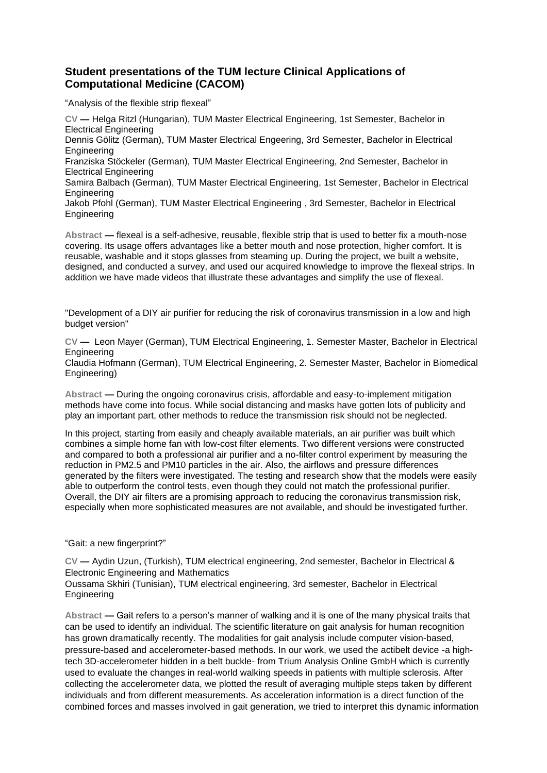#### **Student presentations of the TUM lecture Clinical Applications of Computational Medicine (CACOM)**

"Analysis of the flexible strip flexeal"

**CV —** Helga Ritzl (Hungarian), TUM Master Electrical Engineering, 1st Semester, Bachelor in Electrical Engineering Dennis Gölitz (German), TUM Master Electrical Engeering, 3rd Semester, Bachelor in Electrical **Engineering** Franziska Stöckeler (German), TUM Master Electrical Engineering, 2nd Semester, Bachelor in Electrical Engineering Samira Balbach (German), TUM Master Electrical Engineering, 1st Semester, Bachelor in Electrical Engineering Jakob Pfohl (German), TUM Master Electrical Engineering , 3rd Semester, Bachelor in Electrical Engineering

**Abstract —** flexeal is a self-adhesive, reusable, flexible strip that is used to better fix a mouth-nose covering. Its usage offers advantages like a better mouth and nose protection, higher comfort. It is reusable, washable and it stops glasses from steaming up. During the project, we built a website, designed, and conducted a survey, and used our acquired knowledge to improve the flexeal strips. In addition we have made videos that illustrate these advantages and simplify the use of flexeal.

"Development of a DIY air purifier for reducing the risk of coronavirus transmission in a low and high budget version"

**CV —** Leon Mayer (German), TUM Electrical Engineering, 1. Semester Master, Bachelor in Electrical **Engineering** 

Claudia Hofmann (German), TUM Electrical Engineering, 2. Semester Master, Bachelor in Biomedical Engineering)

**Abstract —** During the ongoing coronavirus crisis, affordable and easy-to-implement mitigation methods have come into focus. While social distancing and masks have gotten lots of publicity and play an important part, other methods to reduce the transmission risk should not be neglected.

In this project, starting from easily and cheaply available materials, an air purifier was built which combines a simple home fan with low-cost filter elements. Two different versions were constructed and compared to both a professional air purifier and a no-filter control experiment by measuring the reduction in PM2.5 and PM10 particles in the air. Also, the airflows and pressure differences generated by the filters were investigated. The testing and research show that the models were easily able to outperform the control tests, even though they could not match the professional purifier. Overall, the DIY air filters are a promising approach to reducing the coronavirus transmission risk, especially when more sophisticated measures are not available, and should be investigated further.

"Gait: a new fingerprint?"

**CV —** Aydin Uzun, (Turkish), TUM electrical engineering, 2nd semester, Bachelor in Electrical & Electronic Engineering and Mathematics

Oussama Skhiri (Tunisian), TUM electrical engineering, 3rd semester, Bachelor in Electrical Engineering

**Abstract —** Gait refers to a person's manner of walking and it is one of the many physical traits that can be used to identify an individual. The scientific literature on gait analysis for human recognition has grown dramatically recently. The modalities for gait analysis include computer vision-based, pressure-based and accelerometer-based methods. In our work, we used the actibelt device -a hightech 3D-accelerometer hidden in a belt buckle- from Trium Analysis Online GmbH which is currently used to evaluate the changes in real-world walking speeds in patients with multiple sclerosis. After collecting the accelerometer data, we plotted the result of averaging multiple steps taken by different individuals and from different measurements. As acceleration information is a direct function of the combined forces and masses involved in gait generation, we tried to interpret this dynamic information